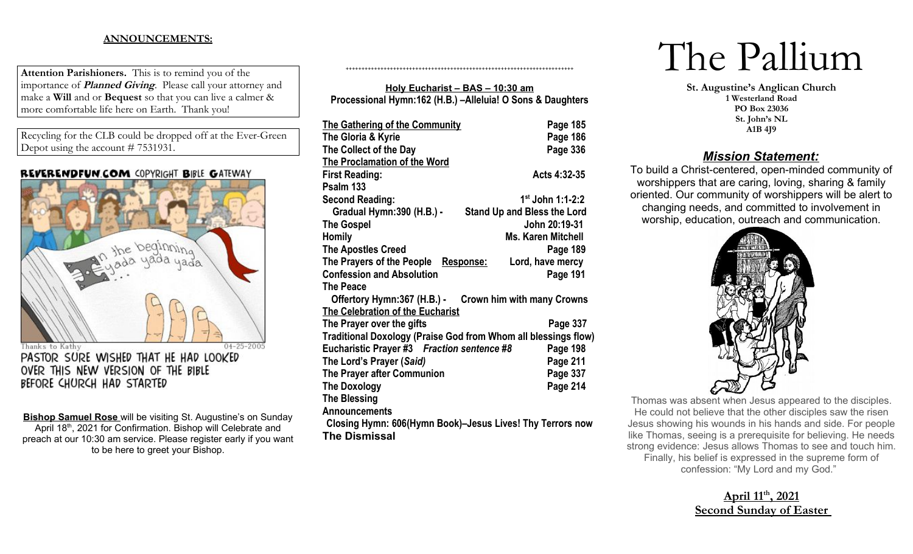## **ANNOUNCEMENTS:**

**Attention Parishioners.** This is to remind you of the importance of **Planned Giving**. Please call your attorney and make a **Will** and or **Bequest** so that you can live a calmer & more comfortable life here on Earth. Thank you!

Recycling for the CLB could be dropped off at the Ever-Green Depot using the account # 7531931.

### REVERENDFUN.COM COPYRIGHT BIBLE GATEWAY



OVER THIS NEW VERSION OF THE BIBLE BEFORE CHURCH HAD STARTED

**Bishop Samuel Rose** will be visiting St. Augustine's on Sunday April 18<sup>th</sup>, 2021 for Confirmation. Bishop will Celebrate and preach at our 10:30 am service. Please register early if you want to be here to greet your Bishop.

## **Holy Eucharist – BAS – 10:30 am Processional Hymn:162 (H.B.) –Alleluia! O Sons & Daughters**

++++++++++++++++++++++++++++++++++++++++++++++++++++++++++++++++++++++++

| The Gathering of the Community                                 | Page 185                           |  |  |
|----------------------------------------------------------------|------------------------------------|--|--|
| The Gloria & Kyrie                                             | Page 186                           |  |  |
| The Collect of the Day                                         | Page 336                           |  |  |
| The Proclamation of the Word                                   |                                    |  |  |
| <b>First Reading:</b>                                          | Acts 4:32-35                       |  |  |
| Psalm 133                                                      |                                    |  |  |
| <b>Second Reading:</b>                                         | 1 <sup>st</sup> John 1:1-2:2       |  |  |
| Gradual Hymn: 390 (H.B.) -                                     | <b>Stand Up and Bless the Lord</b> |  |  |
| <b>The Gospel</b>                                              | John 20:19-31                      |  |  |
| <b>Homily</b>                                                  | <b>Ms. Karen Mitchell</b>          |  |  |
| <b>The Apostles Creed</b>                                      | Page 189                           |  |  |
| The Prayers of the People                                      | Lord, have mercy<br>Response:      |  |  |
| <b>Confession and Absolution</b>                               | Page 191                           |  |  |
| <b>The Peace</b>                                               |                                    |  |  |
| Offertory Hymn:367 (H.B.) - Crown him with many Crowns         |                                    |  |  |
| The Celebration of the Eucharist                               |                                    |  |  |
| The Prayer over the gifts                                      | Page 337                           |  |  |
| Traditional Doxology (Praise God from Whom all blessings flow) |                                    |  |  |
| Eucharistic Prayer #3 Fraction sentence #8                     | Page 198                           |  |  |
| The Lord's Prayer (Said)                                       | Page 211                           |  |  |
| The Prayer after Communion                                     | Page 337                           |  |  |
| <b>The Doxology</b>                                            | Page 214                           |  |  |
| <b>The Blessing</b>                                            |                                    |  |  |
| <b>Announcements</b>                                           |                                    |  |  |
| Closing Hymn: 606(Hymn Book)-Jesus Lives! Thy Terrors now      |                                    |  |  |
| <b>The Dismissal</b>                                           |                                    |  |  |

# The Pallium

**St. Augustine's Anglican Church 1 Westerland Road PO Box 23036 St. John's NL A1B 4J9**

# *Mission Statement:*

To build a Christ-centered, open-minded community of worshippers that are caring, loving, sharing & family oriented. Our community of worshippers will be alert to changing needs, and committed to involvement in worship, education, outreach and communication.



Thomas was absent when Jesus appeared to the disciples. He could not believe that the other disciples saw the risen Jesus showing his wounds in his hands and side. For people like Thomas, seeing is a prerequisite for believing. He needs strong evidence: Jesus allows Thomas to see and touch him. Finally, his belief is expressed in the supreme form of confession: "My Lord and my God."

# **April 11th , 2021 Second Sunday of Easter**